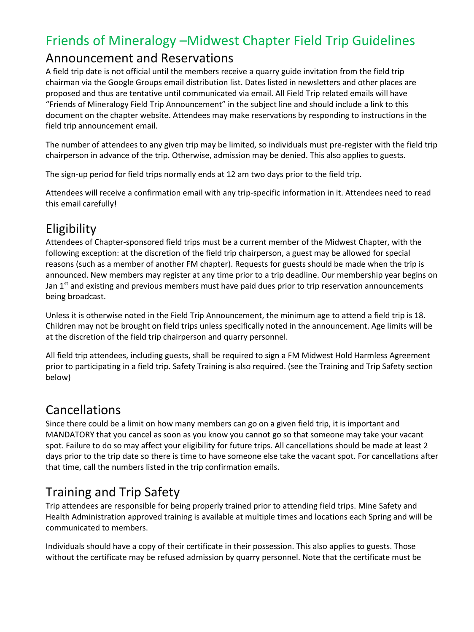### Friends of Mineralogy –Midwest Chapter Field Trip Guidelines

#### Announcement and Reservations

A field trip date is not official until the members receive a quarry guide invitation from the field trip chairman via the Google Groups email distribution list. Dates listed in newsletters and other places are proposed and thus are tentative until communicated via email. All Field Trip related emails will have "Friends of Mineralogy Field Trip Announcement" in the subject line and should include a link to this document on the chapter website. Attendees may make reservations by responding to instructions in the field trip announcement email.

The number of attendees to any given trip may be limited, so individuals must pre-register with the field trip chairperson in advance of the trip. Otherwise, admission may be denied. This also applies to guests.

The sign-up period for field trips normally ends at 12 am two days prior to the field trip.

Attendees will receive a confirmation email with any trip-specific information in it. Attendees need to read this email carefully!

# **Eligibility**

Attendees of Chapter-sponsored field trips must be a current member of the Midwest Chapter, with the following exception: at the discretion of the field trip chairperson, a guest may be allowed for special reasons (such as a member of another FM chapter). Requests for guests should be made when the trip is announced. New members may register at any time prior to a trip deadline. Our membership year begins on Jan 1<sup>st</sup> and existing and previous members must have paid dues prior to trip reservation announcements being broadcast.

Unless it is otherwise noted in the Field Trip Announcement, the minimum age to attend a field trip is 18. Children may not be brought on field trips unless specifically noted in the announcement. Age limits will be at the discretion of the field trip chairperson and quarry personnel.

All field trip attendees, including guests, shall be required to sign a FM Midwest Hold Harmless Agreement prior to participating in a field trip. Safety Training is also required. (see the Training and Trip Safety section below)

#### Cancellations

Since there could be a limit on how many members can go on a given field trip, it is important and MANDATORY that you cancel as soon as you know you cannot go so that someone may take your vacant spot. Failure to do so may affect your eligibility for future trips. All cancellations should be made at least 2 days prior to the trip date so there is time to have someone else take the vacant spot. For cancellations after that time, call the numbers listed in the trip confirmation emails.

# Training and Trip Safety

Trip attendees are responsible for being properly trained prior to attending field trips. Mine Safety and Health Administration approved training is available at multiple times and locations each Spring and will be communicated to members.

Individuals should have a copy of their certificate in their possession. This also applies to guests. Those without the certificate may be refused admission by quarry personnel. Note that the certificate must be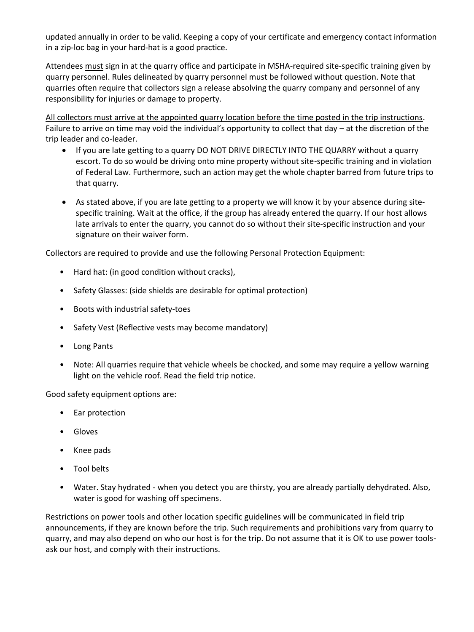updated annually in order to be valid. Keeping a copy of your certificate and emergency contact information in a zip-loc bag in your hard-hat is a good practice.

Attendees must sign in at the quarry office and participate in MSHA-required site-specific training given by quarry personnel. Rules delineated by quarry personnel must be followed without question. Note that quarries often require that collectors sign a release absolving the quarry company and personnel of any responsibility for injuries or damage to property.

All collectors must arrive at the appointed quarry location before the time posted in the trip instructions. Failure to arrive on time may void the individual's opportunity to collect that day – at the discretion of the trip leader and co-leader.

- If you are late getting to a quarry DO NOT DRIVE DIRECTLY INTO THE QUARRY without a quarry escort. To do so would be driving onto mine property without site-specific training and in violation of Federal Law. Furthermore, such an action may get the whole chapter barred from future trips to that quarry.
- As stated above, if you are late getting to a property we will know it by your absence during sitespecific training. Wait at the office, if the group has already entered the quarry. If our host allows late arrivals to enter the quarry, you cannot do so without their site-specific instruction and your signature on their waiver form.

Collectors are required to provide and use the following Personal Protection Equipment:

- Hard hat: (in good condition without cracks),
- Safety Glasses: (side shields are desirable for optimal protection)
- Boots with industrial safety-toes
- Safety Vest (Reflective vests may become mandatory)
- Long Pants
- Note: All quarries require that vehicle wheels be chocked, and some may require a yellow warning light on the vehicle roof. Read the field trip notice.

Good safety equipment options are:

- Ear protection
- Gloves
- Knee pads
- Tool belts
- Water. Stay hydrated when you detect you are thirsty, you are already partially dehydrated. Also, water is good for washing off specimens.

Restrictions on power tools and other location specific guidelines will be communicated in field trip announcements, if they are known before the trip. Such requirements and prohibitions vary from quarry to quarry, and may also depend on who our host is for the trip. Do not assume that it is OK to use power toolsask our host, and comply with their instructions.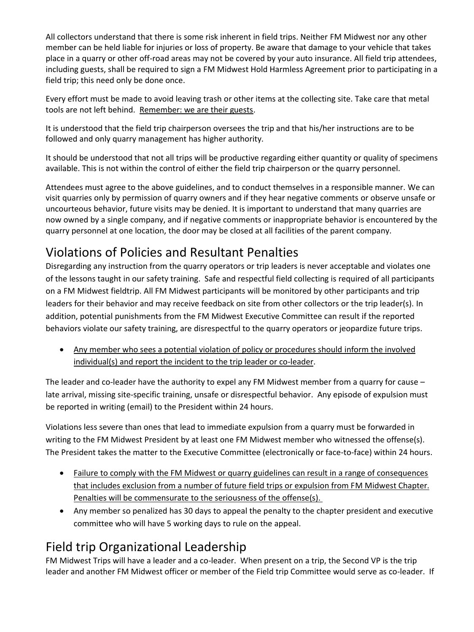All collectors understand that there is some risk inherent in field trips. Neither FM Midwest nor any other member can be held liable for injuries or loss of property. Be aware that damage to your vehicle that takes place in a quarry or other off-road areas may not be covered by your auto insurance. All field trip attendees, including guests, shall be required to sign a FM Midwest Hold Harmless Agreement prior to participating in a field trip; this need only be done once.

Every effort must be made to avoid leaving trash or other items at the collecting site. Take care that metal tools are not left behind. Remember: we are their guests.

It is understood that the field trip chairperson oversees the trip and that his/her instructions are to be followed and only quarry management has higher authority.

It should be understood that not all trips will be productive regarding either quantity or quality of specimens available. This is not within the control of either the field trip chairperson or the quarry personnel.

Attendees must agree to the above guidelines, and to conduct themselves in a responsible manner. We can visit quarries only by permission of quarry owners and if they hear negative comments or observe unsafe or uncourteous behavior, future visits may be denied. It is important to understand that many quarries are now owned by a single company, and if negative comments or inappropriate behavior is encountered by the quarry personnel at one location, the door may be closed at all facilities of the parent company.

## Violations of Policies and Resultant Penalties

Disregarding any instruction from the quarry operators or trip leaders is never acceptable and violates one of the lessons taught in our safety training. Safe and respectful field collecting is required of all participants on a FM Midwest fieldtrip. All FM Midwest participants will be monitored by other participants and trip leaders for their behavior and may receive feedback on site from other collectors or the trip leader(s). In addition, potential punishments from the FM Midwest Executive Committee can result if the reported behaviors violate our safety training, are disrespectful to the quarry operators or jeopardize future trips.

• Any member who sees a potential violation of policy or procedures should inform the involved individual(s) and report the incident to the trip leader or co-leader.

The leader and co-leader have the authority to expel any FM Midwest member from a quarry for cause – late arrival, missing site-specific training, unsafe or disrespectful behavior. Any episode of expulsion must be reported in writing (email) to the President within 24 hours.

Violations less severe than ones that lead to immediate expulsion from a quarry must be forwarded in writing to the FM Midwest President by at least one FM Midwest member who witnessed the offense(s). The President takes the matter to the Executive Committee (electronically or face-to-face) within 24 hours.

- Failure to comply with the FM Midwest or quarry guidelines can result in a range of consequences that includes exclusion from a number of future field trips or expulsion from FM Midwest Chapter. Penalties will be commensurate to the seriousness of the offense(s).
- Any member so penalized has 30 days to appeal the penalty to the chapter president and executive committee who will have 5 working days to rule on the appeal.

# Field trip Organizational Leadership

FM Midwest Trips will have a leader and a co-leader. When present on a trip, the Second VP is the trip leader and another FM Midwest officer or member of the Field trip Committee would serve as co-leader. If